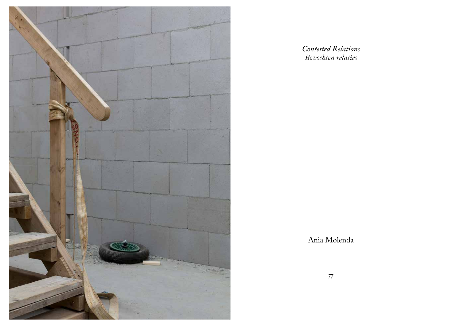

*Contested Relations Bevochten relaties*

Ania Molenda

77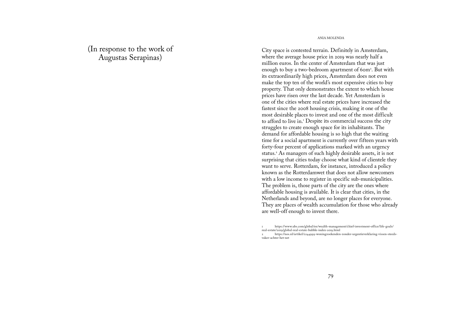(In response to the work of Augustas Serapinas)

ANIA MOLENDA

City space is contested terrain. Definitely in Amsterdam, where the average house price in 2019 was nearly half a million euros. In the center of Amsterdam that was just enough to buy a two-bedroom apartment of 60m<sup>2</sup> . But with its extraordinarily high prices, Amsterdam does not even make the top ten of the world's most expensive cities to buy property. That only demonstrates the extent to which house prices have risen over the last decade. Yet Amsterdam is one of the cities where real estate prices have increased the fastest since the 2008 housing crisis, making it one of the most desirable places to invest and one of the most difficult to afford to live in.<sup>1</sup> Despite its commercial success the city struggles to create enough space for its inhabitants. The demand for affordable housing is so high that the waiting time for a social apartment is currently over fifteen years with forty-four percent of applications marked with an urgency status.<sup>2</sup> As managers of such highly desirable assets, it is not surprising that cities today choose what kind of clientele they want to serve. Rotterdam, for instance, introduced a policy known as the Rotterdamwet that does not allow newcomers with a low income to register in specific sub-municipalities. The problem is, those parts of the city are the ones where affordable housing is available. It is clear that cities, in the Netherlands and beyond, are no longer places for everyone. They are places of wealth accumulation for those who already are well-off enough to invest there.

1 https://www.ubs.com/global/en/wealth-management/chief-investment-office/life-goals/ real-estate/2019/global-real-estate-bubble-index-2019.html

2 https://nos.nl/artikel/2244999-woningzoekenden-zonder-urgentieverklaring-vissen-steedsvaker-achter-het-net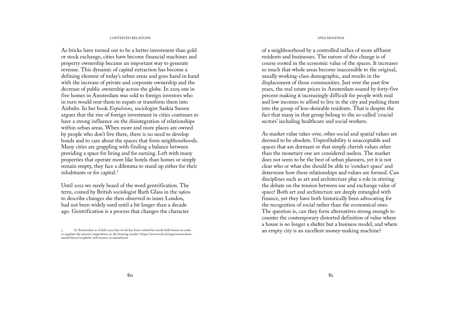# CONTESTED RELATIONS AND A RELATIONS AND A RELATIONS AND A RELATIONS AND A RELATIONS AND A RELATIONS AND A RELATIONS

As bricks have turned out to be a better investment than gold or stock exchange, cities have become financial machines and property ownership became an important way to generate revenue. This dynamic of capital extraction has become a defining element of today's urban areas and goes hand in hand with the increase of private and corporate ownership and the decrease of public ownership across the globe. In 2019 one in five homes in Amsterdam was sold to foreign investors who in turn would rent them to expats or transform them into Airbnbs. In her book *Expulsions*, sociologist Saskia Sassen argues that the rise of foreign investment in cities continues to have a strong influence on the disintegration of relationships within urban areas. When more and more places are owned by people who don't live there, there is no need to develop bonds and to care about the spaces that form neighbourhoods. Many cities are grappling with finding a balance between providing a space for living and for earning. Left with many properties that operate more like hotels than homes or simply remain empty, they face a dilemma to stand up either for their inhabitants or for capital.<sup>3</sup>

Until 2012 we rarely heard of the word gentrification. The term, coined by British sociologist Ruth Glass in the 1960s to describe changes she then observed in inner London, had not been widely used until a bit longer than a decade ago. Gentrification is a process that changes the character

of a neighbourhood by a controlled influx of more affluent residents and businesses. The nature of this change is of course rooted in the economic value of the spaces. It increases so much that whole areas become inaccessible to the original, usually working-class demographic, and results in the displacement of those communities. Just over the past few years, the real estate prices in Amsterdam soared by forty-five percent making it increasingly difficult for people with mid and low incomes to afford to live in the city and pushing them into the group of less-desirable residents. That is despite the fact that many in that group belong to the so-called 'crucial sectors' including healthcare and social workers.

As market value takes over, other social and spatial values are deemed to be obsolete. Unprofitability is unacceptable and spaces that are dormant or that simply cherish values other than the monetary one are considered useless. The market does not seem to be the best of urban planners, yet it is not clear who or what else should be able to 'conduct space' and determine how these relationships and values are formed. Can disciplines such as art and architecture play a role in stirring the debate on the tension between use and exchange value of space? Both art and architecture are deeply entangled with finance, yet they have both historically been advocating for the recognition of social rather than the economical ones. The question is, can they form alternatives strong enough to counter the contemporary distorted definition of value where a house is no longer a shelter but a business model, and where an empty city is an excellent money-making machine?

<sup>3</sup> In Amsterdam as of July 2020 buy-to-let has been curbed for newly built homes in order to regulate the uneven competition on the housing market. https://www.rodi.nl/regio/amsterdamnoord/180121/verplicht-zelf-wonen-in-nieuwbouw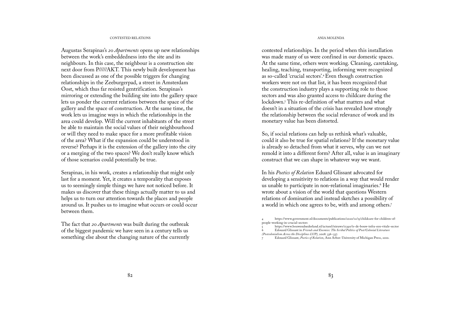# CONTESTED RELATIONS AND A RELATIONS AND A RELATIONS AND A RELATIONS AND A RELATIONS AND A RELATIONS AND A RELATIONS

Augustas Serapinas's *20 Apartments* opens up new relationships between the work's embeddedness into the site and its neighbours. In this case, the neighbour is a construction site next door from P/////AKT. This newly built development has been discussed as one of the possible triggers for changing relationships in the Zeeburgerpad, a street in Amsterdam Oost, which thus far resisted gentrification. Serapinas's mirroring or extending the building site into the gallery space lets us ponder the current relations between the space of the gallery and the space of construction. At the same time, the work lets us imagine ways in which the relationships in the area could develop. Will the current inhabitants of the street be able to maintain the social values of their neighbourhood or will they need to make space for a more profitable vision of the area? What if the expansion could be understood in reverse? Perhaps it is the extension of the gallery into the city or a merging of the two spaces? We don't really know which of those scenarios could potentially be true.

Serapinas, in his work, creates a relationship that might only last for a moment. Yet, it creates a temporality that exposes us to seemingly simple things we have not noticed before. It makes us discover that these things actually matter to us and helps us to turn our attention towards the places and people around us. It pushes us to imagine what occurs or could occur between them.

The fact that *20 Apartments* was built during the outbreak of the biggest pandemic we have seen in a century tells us something else about the changing nature of the currently

contested relationships. In the period when this installation was made many of us were confined in our domestic spaces. At the same time, others were working. Cleaning, caretaking, healing, teaching, transporting, informing were recognized as so-called 'crucial sectors'.<sup>4</sup>Even though construction workers were not on that list, it has been recognized that the construction industry plays a supporting role to those sectors and was also granted access to childcare during the lockdown.<sup>5</sup> This re-definition of what matters and what doesn't in a situation of the crisis has revealed how strongly the relationship between the social relevance of work and its monetary value has been distorted.

So, if social relations can help us rethink what's valuable, could it also be true for spatial relations? If the monetary value is already so detached from what it serves, why can we not remold it into a different form? After all, value is an imaginary construct that we can shape in whatever way we want.

In his *Poetics of Relation* Eduard Glissant advocated for developing a sensitivity to relations in a way that would render us unable to participate in non-relational imaginaries.<sup>6</sup> He wrote about a vision of the world that questions Western relations of domination and instead sketches a possibility of a world in which one agrees to be, with and among others.<sup>7</sup>

<sup>4</sup> https://www.government.nl/documents/publications/2020/12/15/childcare-for-children-ofpeople-working-in-crucial-sectors

<sup>5</sup> https://www.bouwendnederland.nl/actueel/nieuws/11390/is-de-bouw-infra-een-vitale-sector 6 Edouard Glissant in *Friends and Enemies: The Scribal Politics of Post/Colonial Literature (Postcolonialism Across the Disciplines LUP)*, 2008: 336–337.

<sup>7</sup> Edouard Glissant, *Poetics of Relation*, Ann Arbor: University of Michigan Press, 2010.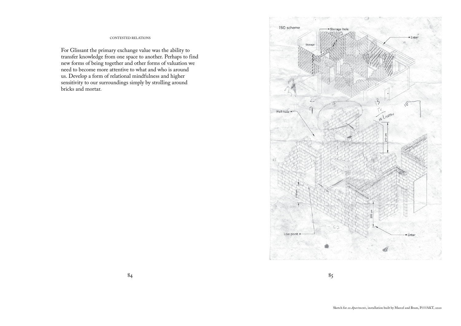For Glissant the primary exchange value was the ability to transfer knowledge from one space to another. Perhaps to find new forms of being together and other forms of valuation we need to become more attentive to what and who is around us. Develop a form of relational mindfulness and higher sensitivity to our surroundings simply by strolling around bricks and mortar.

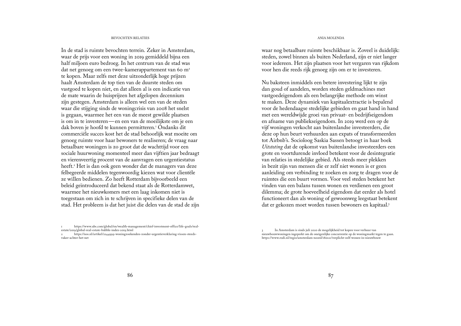# BEVOCHTEN RELATIES ANIA MOLENDA

In de stad is ruimte bevochten terrein. Zeker in Amsterdam, waar de prijs voor een woning in 2019 gemiddeld bijna een half miljoen euro bedroeg. In het centrum van de stad was dat net genoeg om een twee-kamerappartement van 60 m<sup>2</sup> te kopen. Maar zelfs met deze uitzonderlijk hoge prijzen haalt Amsterdam de top tien van de duurste steden om vastgoed te kopen niet, en dat alleen al is een indicatie van de mate waarin de huisprijzen het afgelopen decennium zijn gestegen. Amsterdam is alleen wel een van de steden waar die stijging sinds de woningcrisis van 2008 het snelst is gegaan, waarmee het een van de meest gewilde plaatsen is om in te investeren—en een van de moeilijkste om je een dak boven je hoofd te kunnen permitteren.<sup>1</sup> Ondanks dit commerciële succes kost het de stad behoorlijk wat moeite om genoeg ruimte voor haar bewoners te realiseren; de vraag naar betaalbare woningen is zo groot dat de wachttijd voor een sociale huurwoning momenteel meer dan vijftien jaar bedraagt en vierenveertig procent van de aanvragen een urgentiestatus heeft.<sup>2</sup> Het is dan ook geen wonder dat de managers van deze felbegeerde middelen tegenwoordig kiezen wat voor clientèle ze willen bedienen. Zo heeft Rotterdam bijvoorbeeld een beleid geïntroduceerd dat bekend staat als de Rotterdamwet, waarmee het nieuwkomers met een laag inkomen niet is toegestaan om zich in te schrijven in specifieke delen van de stad. Het probleem is dat het juist die delen van de stad de zijn

waar nog betaalbare ruimte beschikbaar is. Zoveel is duidelijk: steden, zowel binnen als buiten Nederland, zijn er niet langer voor iedereen. Het zijn plaatsen voor het vergaren van rijkdom voor hen die reeds rijk genoeg zijn om er te investeren.

Nu baksteen inmiddels een betere investering lijkt te zijn dan goud of aandelen, worden steden geldmachines met vastgoedeigendom als een belangrijke methode om winst te maken. Deze dynamiek van kapitaalextractie is bepalend voor de hedendaagse stedelijke gebieden en gaat hand in hand met een wereldwijde groei van privaat- en bedrijfseigendom en afname van publiekseigendom. In 2019 werd een op de vijf woningen verkocht aan buitenlandse investeerders, die deze op hun beurt verhuurden aan expats of transformeerden tot Airbnb's. Socioloog Saskia Sassen betoogt in haar boek *Uitstoting* dat de opkomst van buitenlandse investeerders een grote en voortdurende invloed betekent voor de desintegratie van relaties in stedelijke gebied. Als steeds meer plekken in bezit zijn van mensen die er zelf niet wonen is er geen aanleiding om verbinding te zoeken en zorg te dragen voor de ruimtes die een buurt vormen. Voor veel steden betekent het vinden van een balans tussen wonen en verdienen een groot dilemma; de grote hoeveelheid eigendom dat eerder als hotel functioneert dan als woning of gewoonweg leegstaat betekent dat er gekozen moet worden tussen bewoners en kapitaal.<sup>3</sup>

<sup>1</sup> https://www.ubs.com/global/en/wealth-management/chief-investment-office/life-goals/realestate/2019/global-real-estate-bubble-index-2019.html

<sup>2</sup> https://nos.nl/artikel/2244999-woningzoekenden-zonder-urgentieverklaring-vissen-steedsvaker-achter-het-net

<sup>3</sup> In Amsterdam is sinds juli 2020 de mogelijkheid tot kopen voor verhuur van nieuwbouwwoningen ingeperkt om de oneigenlijke concurrentie op de woningmarkt tegen te gaan. https://www.rodi.nl/regio/amsterdam-noord/180121/verplicht-zelf-wonen-in-nieuwbouw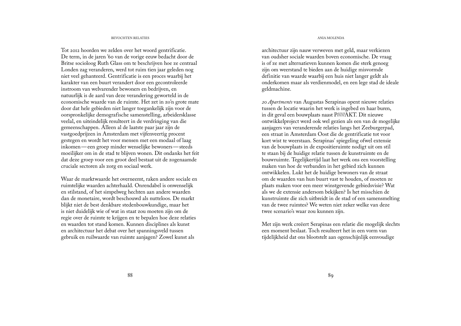# BEVOCHTEN RELATIES ANIA MOLENDA

Tot 2012 hoorden we zelden over het woord gentrificatie. De term, in de jaren '60 van de vorige eeuw bedacht door de Britse socioloog Ruth Glass om te beschrijven hoe ze centraal Londen zag veranderen, werd tot ruim tien jaar geleden nog niet veel gehanteerd. Gentrificatie is een proces waarbij het karakter van een buurt verandert door een gecontroleerde instroom van welvarender bewoners en bedrijven, en natuurlijk is de aard van deze verandering geworteld in de economische waarde van de ruimte. Het zet in zo'n grote mate door dat hele gebieden niet langer toegankelijk zijn voor de oorspronkelijke demografische samenstelling, arbeidersklasse veelal, en uiteindelijk resulteert in de verdringing van die gemeenschappen. Alleen al de laatste paar jaar zijn de vastgoedprijzen in Amsterdam met vijfenveertig procent gestegen en wordt het voor mensen met een modaal of laag inkomen—een groep minder wenselijke bewoners—steeds moeilijker om in de stad te blijven wonen. Dit ondanks het feit dat deze groep voor een groot deel bestaat uit de zogenaamde cruciale sectoren als zorg en sociaal werk.

Waar de marktwaarde het overneemt, raken andere sociale en ruimtelijke waarden achterhaald. Onrendabel is onwenselijk en stilstand, of het simpelweg hechten aan andere waarden dan de monetaire, wordt beschouwd als nutteloos. De markt blijkt niet de best denkbare stedenbouwkundige, maar het is niet duidelijk wie of wat in staat zou moeten zijn om de regie over de ruimte te krijgen en te bepalen hoe deze relaties en waarden tot stand komen. Kunnen disciplines als kunst en architectuur het debat over het spanningsveld tussen gebruik en ruilwaarde van ruimte aanjagen? Zowel kunst als

architectuur zijn nauw verweven met geld, maar verkiezen van oudsher sociale waarden boven economische. De vraag is of ze met alternatieven kunnen komen die sterk genoeg zijn om weerstand te bieden aan de huidige misvormde definitie van waarde waarbij een huis niet langer geldt als onderkomen maar als verdienmodel, en een lege stad de ideale geldmachine.

*20 Apartments* van Augustas Serapinas opent nieuwe relaties tussen de locatie waarin het werk is ingebed en haar buren, in dit geval een bouwplaats naast P/////AKT. Dit nieuwe ontwikkelproject werd ook wel gezien als een van de mogelijke aanjagers van veranderende relaties langs het Zeeburgerpad, een straat in Amsterdam Oost die de gentrificatie tot voor kort wist te weerstaan. Serapinas' spiegeling ofwel extensie van de bouwplaats in de expositieruimte nodigt uit om stil te staan bij de huidige relatie tussen de kunstruimte en de bouwruimte. Tegelijkertijd laat het werk ons een voorstelling maken van hoe de verbanden in het gebied zich kunnen ontwikkelen. Lukt het de huidige bewoners van de straat om de waarden van hun buurt vast te houden, of moeten ze plaats maken voor een meer winstgevende gebiedsvisie? Wat als we de extensie andersom bekijken? Is het misschien de kunstruimte die zich uitbreidt in de stad of een samensmelting van de twee ruimtes? We weten niet zeker welke van deze twee scenario's waar zou kunnen zijn.

Met zijn werk creëert Serapinas een relatie die mogelijk slechts een moment beslaat. Toch resulteert het in een vorm van tijdelijkheid dat ons blootstelt aan ogenschijnlijk eenvoudige